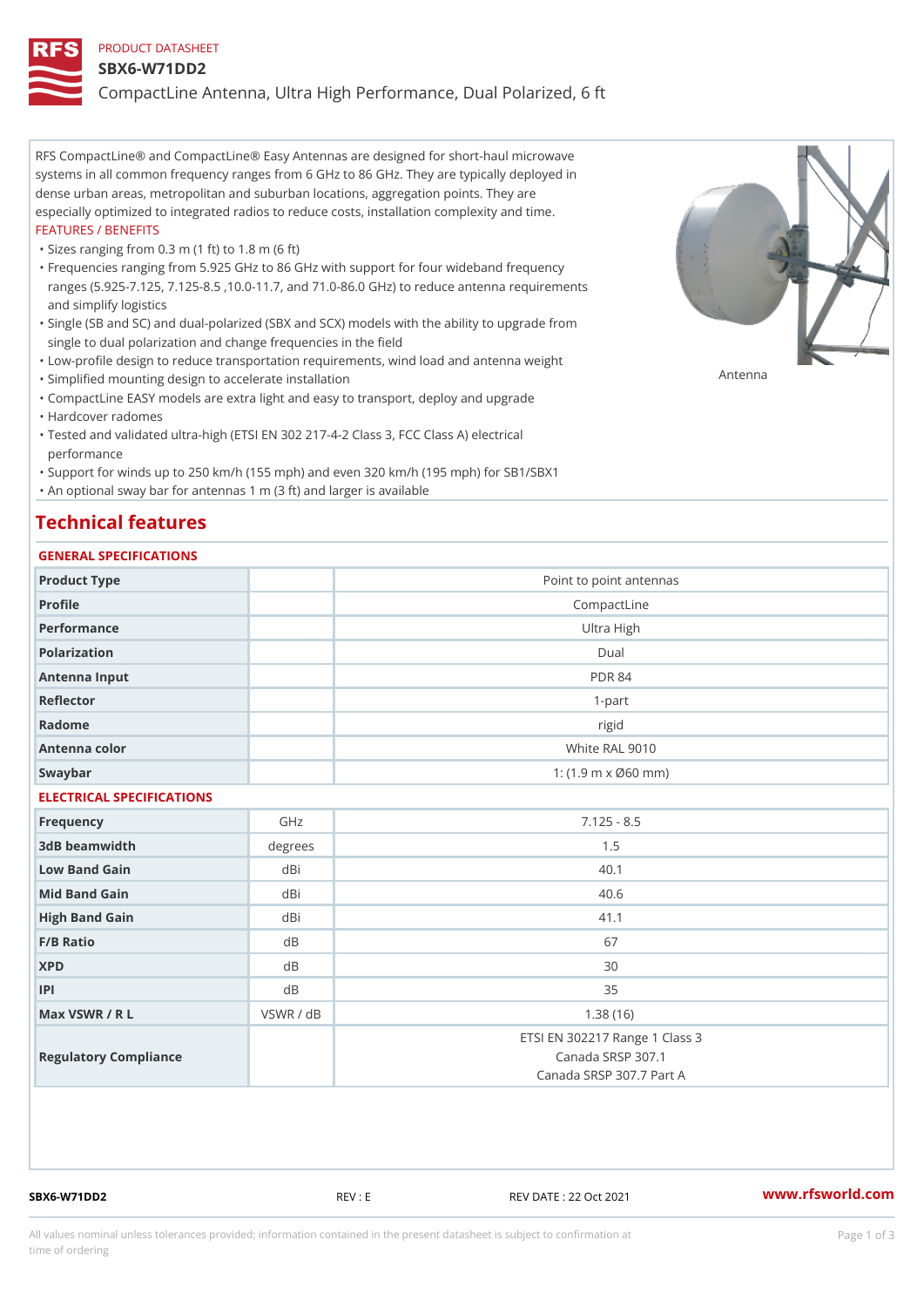#### PRODUCT DATASHEET

#### SBX6-W71DD2

CompactLine Antenna, Ultra High Performance, Dual Polarized, 6 ft

RFS CompactLine® and CompactLine® Easy Antennas are designed for short-haul microwave systems in all common frequency ranges from 6 GHz to 86 GHz. They are typically deployed in dense urban areas, metropolitan and suburban locations, aggregation points. They are especially optimized to integrated radios to reduce costs, installation complexity and time. FEATURES / BENEFITS

"Sizes ranging from 0.3 m (1 ft) to 1.8 m (6 ft)

- Frequencies ranging from 5.925 GHz to 86 GHz with support for four wideband frequency " ranges (5.925-7.125, 7.125-8.5 ,10.0-11.7, and 71.0-86.0 GHz) to reduce antenna requirements and simplify logistics
- Single (SB and SC) and dual-polarized (SBX and SCX) models with the ability to upgrade from " single to dual polarization and change frequencies in the field
- "Low-profile design to reduce transportation requirements, wind load and antenna weight
- "Simplified mounting design to accelerate installation

 "CompactLine EASY models are extra light and easy to transport, deploy and upgrade "Hardcover radomes

Tested and validated ultra-high (ETSI EN 302 217-4-2 Class 3, FCC Class A) electrical " performance

 "Support for winds up to 250 km/h (155 mph) and even 320 km/h (195 mph) for SB1/SBX1 "An optional sway bar for antennas 1 m (3 ft) and larger is available

# Technical features

### GENERAL SPECIFICATIONS

| OLIVLINAL OI LOII IOA I IONO |                |                                                                                 |  |  |
|------------------------------|----------------|---------------------------------------------------------------------------------|--|--|
| Product Type                 |                | Point to point antennas                                                         |  |  |
| Profile                      |                | CompactLine                                                                     |  |  |
| Performance                  |                | Ultra High                                                                      |  |  |
| Polarization                 |                | $D$ ual                                                                         |  |  |
| Antenna Input                |                | <b>PDR 84</b>                                                                   |  |  |
| Reflector                    |                | $1 - p$ art                                                                     |  |  |
| Radome                       |                | rigid                                                                           |  |  |
| Antenna color                | White RAL 9010 |                                                                                 |  |  |
| Swaybar                      |                | 1: $(1.9 \, m \times 060 \, mm)$                                                |  |  |
| ELECTRICAL SPECIFICATIONS    |                |                                                                                 |  |  |
| Frequency                    | GHz            | $7.125 - 8.5$                                                                   |  |  |
| 3dB beamwidth                | degrees        | 1.5                                                                             |  |  |
| Low Band Gain                | dBi            | 40.1                                                                            |  |  |
| Mid Band Gain                | dBi            | 40.6                                                                            |  |  |
| High Band Gain               | dBi            | 41.1                                                                            |  |  |
| F/B Ratio                    | d B            | 67                                                                              |  |  |
| <b>XPD</b>                   | $d \, B$       | 30                                                                              |  |  |
| P                            | d B            | 35                                                                              |  |  |
| Max VSWR / R L               | VSWR / dB      | 1.38(16)                                                                        |  |  |
| Regulatory Compliance        |                | ETSI EN 302217 Range 1 Class 3<br>Canada SRSP 307.1<br>Canada SRSP 307.7 Part A |  |  |

SBX6-W71DD2 REV : E REV DATE : 22 Oct 2021 [www.](https://www.rfsworld.com)rfsworld.com

Antenna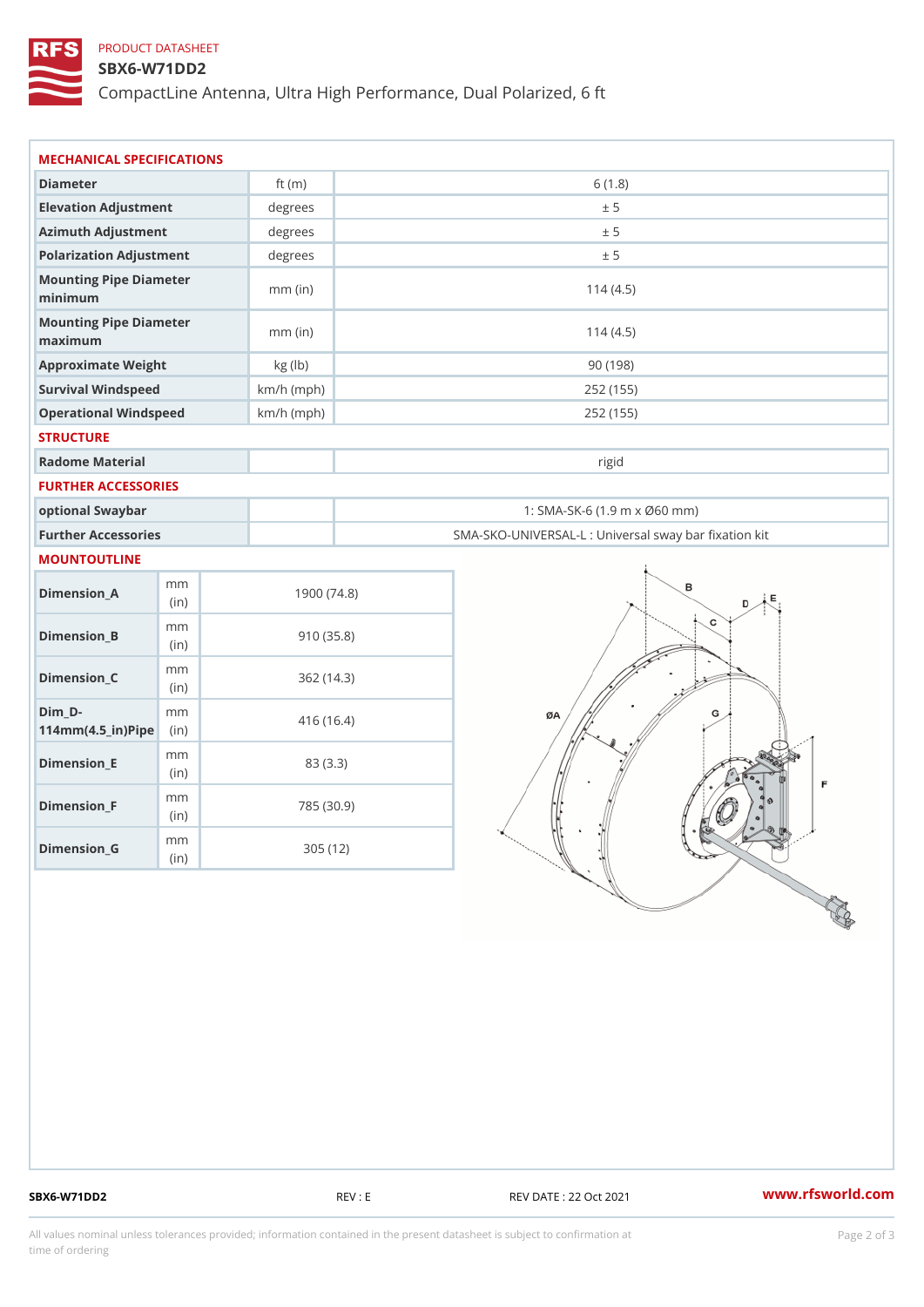## PRODUCT DATASHEET

### SBX6-W71DD2

CompactLine Antenna, Ultra High Performance, Dual Polarized, 6 ft

| MECHANICAL SPECIFICATIONS                                                      |              |                                                   |  |
|--------------------------------------------------------------------------------|--------------|---------------------------------------------------|--|
| Diameter                                                                       | ft $(m)$     | 6(1.8)                                            |  |
| Elevation Adjustment                                                           | degrees      | ± 5                                               |  |
| Azimuth Adjustment                                                             | degrees      | ± 5                                               |  |
| Polarization Adjustment                                                        | degrees      | ± 5                                               |  |
| Mounting Pipe Diameter<br>minimum                                              | $mm$ (in)    | 114(4.5)                                          |  |
| Mounting Pipe Diameter<br>maximum                                              | $mm$ (in)    | 114(4.5)                                          |  |
| Approximate Weight                                                             | kg (lb)      | 90(198)                                           |  |
| Survival Windspeed                                                             | $km/h$ (mph) | 252 (155)                                         |  |
| Operational Windspeed                                                          | $km/h$ (mph) | 252 (155)                                         |  |
| <b>STRUCTURE</b>                                                               |              |                                                   |  |
| Radome Material                                                                |              | rigid                                             |  |
| FURTHER ACCESSORIES                                                            |              |                                                   |  |
| optional Swaybar                                                               |              | 1: SMA-SK-6 (1.9 m x Ø60 mm)                      |  |
| Further Accessories                                                            |              | SMA-SKO-UNIVERSAL-L : Universal sway bar fixation |  |
| MOUNTOUTLINE                                                                   |              |                                                   |  |
| m m<br>$D$ imension $\_$ A<br>(in)                                             |              | 1900(74.8)                                        |  |
| m m<br>$Dimension_B$<br>(in)                                                   |              | 910(35.8)                                         |  |
| m m<br>$Dimension_C$<br>(in)                                                   |              | 362(14.3)                                         |  |
| $Dim_D - D -$<br>m m<br>$114$ m m (4.5 _ ir ) $\sqrt{$ ii p $\sqrt{$ $\approx$ |              | 416 (16.4)                                        |  |
| m m<br>$Dimension$ = E<br>(in)                                                 |              | 83 (3.3)                                          |  |
| m m<br>$Dimension_F$<br>(i n)                                                  |              | 785 (30.9)                                        |  |
| m m<br>$Dimenision_G$<br>(in)                                                  |              | 305(12)                                           |  |

SBX6-W71DD2 REV : E REV DATE : 22 Oct 2021 WWW.rfsworld.com